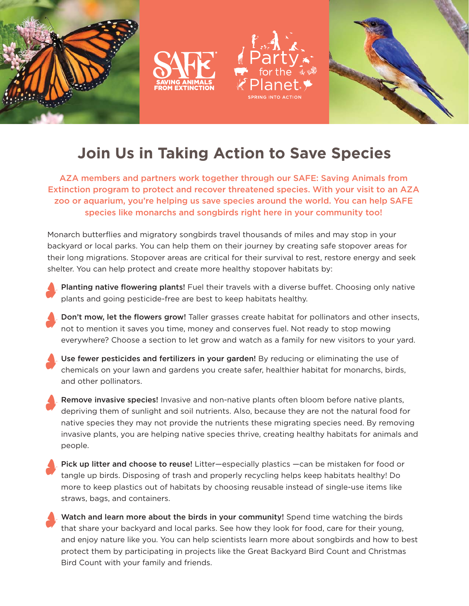







## **Join Us in Taking Action to Save Species**

AZA members and partners work together through our SAFE: Saving Animals from Extinction program to protect and recover threatened species. With your visit to an AZA zoo or aquarium, you're helping us save species around the world. You can help SAFE species like monarchs and songbirds right here in your community too!

Monarch butterflies and migratory songbirds travel thousands of miles and may stop in your backyard or local parks. You can help them on their journey by creating safe stopover areas for their long migrations. Stopover areas are critical for their survival to rest, restore energy and seek shelter. You can help protect and create more healthy stopover habitats by:

- Planting native flowering plants! Fuel their travels with a diverse buffet. Choosing only native plants and going pesticide-free are best to keep habitats healthy.
- Don't mow, let the flowers grow! Taller grasses create habitat for pollinators and other insects, not to mention it saves you time, money and conserves fuel. Not ready to stop mowing everywhere? Choose a section to let grow and watch as a family for new visitors to your yard.
- Use fewer pesticides and fertilizers in your garden! By reducing or eliminating the use of chemicals on your lawn and gardens you create safer, healthier habitat for monarchs, birds, and other pollinators.
- Remove invasive species! Invasive and non-native plants often bloom before native plants, depriving them of sunlight and soil nutrients. Also, because they are not the natural food for native species they may not provide the nutrients these migrating species need. By removing invasive plants, you are helping native species thrive, creating healthy habitats for animals and people.
- Pick up litter and choose to reuse! Litter—especially plastics —can be mistaken for food or tangle up birds. Disposing of trash and properly recycling helps keep habitats healthy! Do more to keep plastics out of habitats by choosing reusable instead of single-use items like straws, bags, and containers.
	- Watch and learn more about the birds in your community! Spend time watching the birds that share your backyard and local parks. See how they look for food, care for their young, and enjoy nature like you. You can help scientists learn more about songbirds and how to best protect them by participating in projects like the Great Backyard Bird Count and Christmas Bird Count with your family and friends.